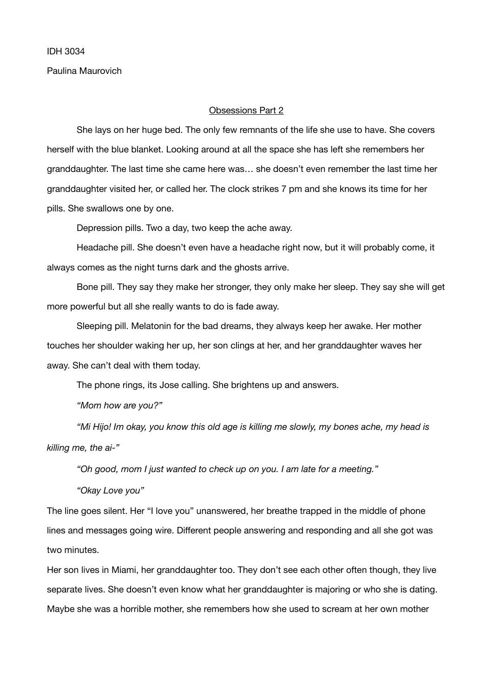Paulina Maurovich

## Obsessions Part 2

She lays on her huge bed. The only few remnants of the life she use to have. She covers herself with the blue blanket. Looking around at all the space she has left she remembers her granddaughter. The last time she came here was… she doesn't even remember the last time her granddaughter visited her, or called her. The clock strikes 7 pm and she knows its time for her pills. She swallows one by one. 

Depression pills. Two a day, two keep the ache away.

Headache pill. She doesn't even have a headache right now, but it will probably come, it always comes as the night turns dark and the ghosts arrive.

Bone pill. They say they make her stronger, they only make her sleep. They say she will get more powerful but all she really wants to do is fade away.

Sleeping pill. Melatonin for the bad dreams, they always keep her awake. Her mother touches her shoulder waking her up, her son clings at her, and her granddaughter waves her away. She can't deal with them today.

The phone rings, its Jose calling. She brightens up and answers.

*"Mom how are you?"* 

*"Mi Hijo! Im okay, you know this old age is killing me slowly, my bones ache, my head is killing me, the ai-"* 

*"Oh good, mom I just wanted to check up on you. I am late for a meeting."* 

*"Okay Love you"* 

The line goes silent. Her "I love you" unanswered, her breathe trapped in the middle of phone lines and messages going wire. Different people answering and responding and all she got was two minutes.

Her son lives in Miami, her granddaughter too. They don't see each other often though, they live separate lives. She doesn't even know what her granddaughter is majoring or who she is dating. Maybe she was a horrible mother, she remembers how she used to scream at her own mother